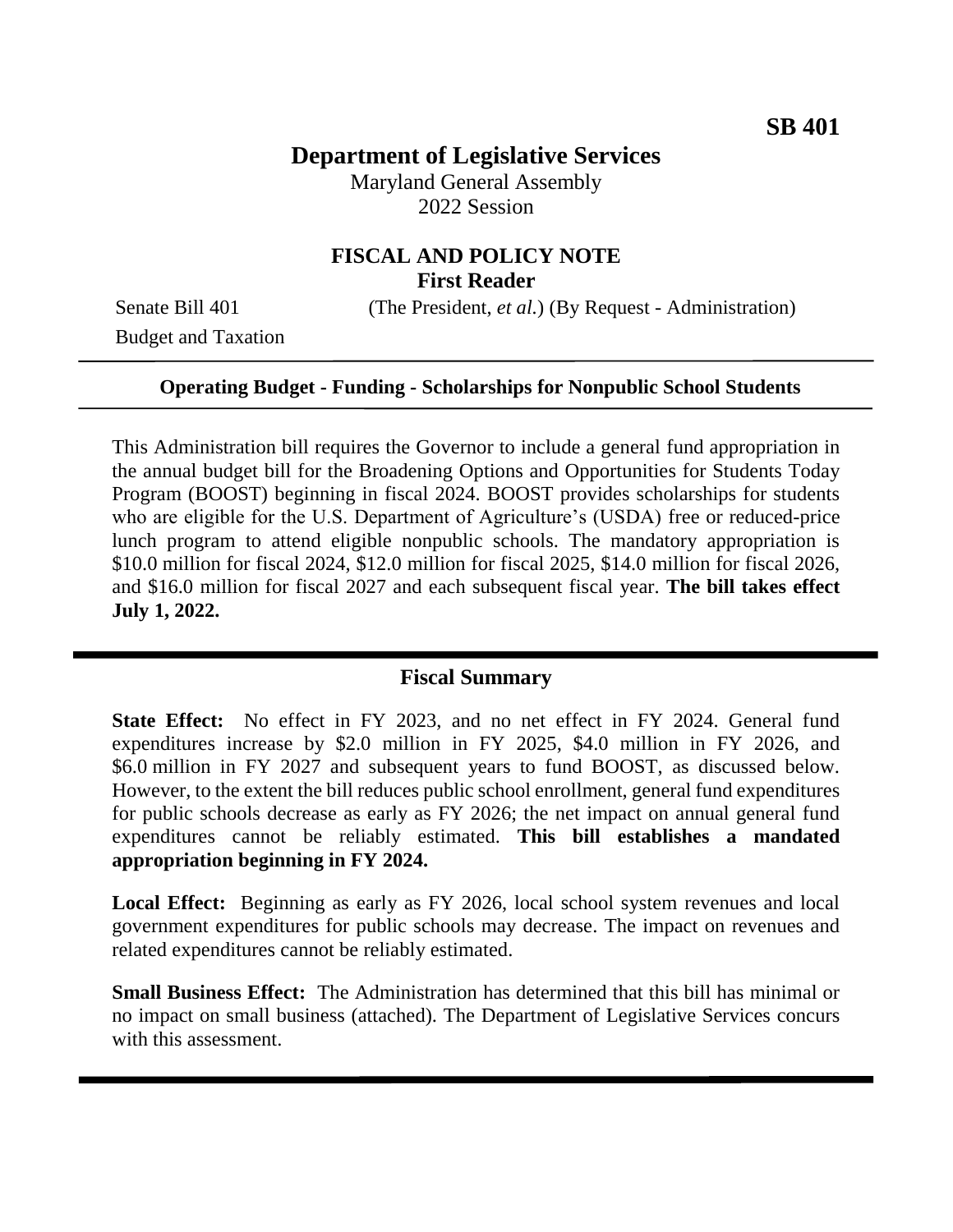# **Department of Legislative Services**

Maryland General Assembly 2022 Session

# **FISCAL AND POLICY NOTE First Reader**

Senate Bill 401 (The President, *et al.*) (By Request - Administration)

Budget and Taxation

### **Operating Budget - Funding - Scholarships for Nonpublic School Students**

This Administration bill requires the Governor to include a general fund appropriation in the annual budget bill for the Broadening Options and Opportunities for Students Today Program (BOOST) beginning in fiscal 2024. BOOST provides scholarships for students who are eligible for the U.S. Department of Agriculture's (USDA) free or reduced-price lunch program to attend eligible nonpublic schools. The mandatory appropriation is \$10.0 million for fiscal 2024, \$12.0 million for fiscal 2025, \$14.0 million for fiscal 2026, and \$16.0 million for fiscal 2027 and each subsequent fiscal year. **The bill takes effect July 1, 2022.**

### **Fiscal Summary**

**State Effect:** No effect in FY 2023, and no net effect in FY 2024. General fund expenditures increase by \$2.0 million in FY 2025, \$4.0 million in FY 2026, and \$6.0 million in FY 2027 and subsequent years to fund BOOST, as discussed below. However, to the extent the bill reduces public school enrollment, general fund expenditures for public schools decrease as early as FY 2026; the net impact on annual general fund expenditures cannot be reliably estimated. **This bill establishes a mandated appropriation beginning in FY 2024.** 

**Local Effect:** Beginning as early as FY 2026, local school system revenues and local government expenditures for public schools may decrease. The impact on revenues and related expenditures cannot be reliably estimated.

**Small Business Effect:** The Administration has determined that this bill has minimal or no impact on small business (attached). The Department of Legislative Services concurs with this assessment.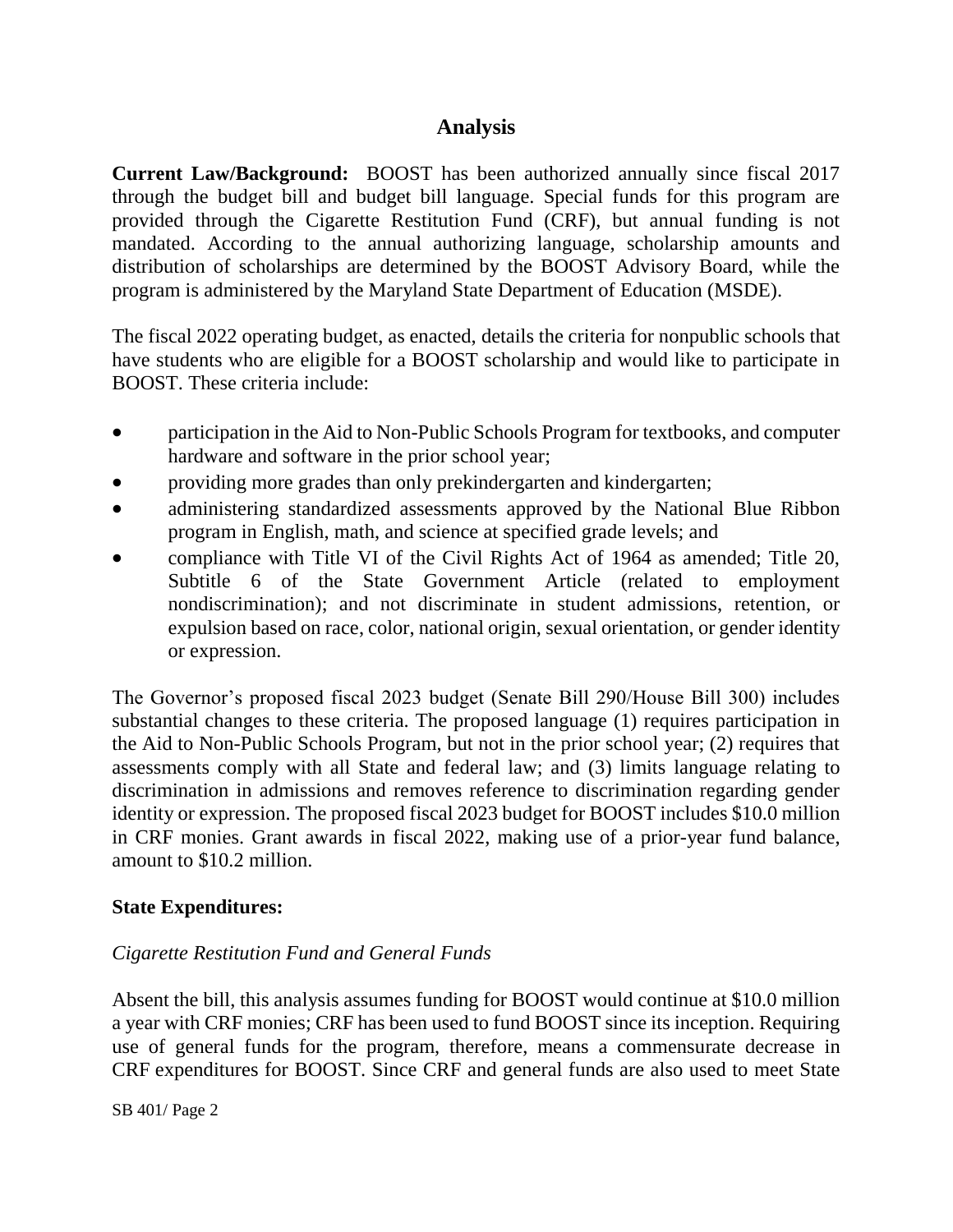# **Analysis**

**Current Law/Background:** BOOST has been authorized annually since fiscal 2017 through the budget bill and budget bill language. Special funds for this program are provided through the Cigarette Restitution Fund (CRF), but annual funding is not mandated. According to the annual authorizing language, scholarship amounts and distribution of scholarships are determined by the BOOST Advisory Board, while the program is administered by the Maryland State Department of Education (MSDE).

The fiscal 2022 operating budget, as enacted, details the criteria for nonpublic schools that have students who are eligible for a BOOST scholarship and would like to participate in BOOST. These criteria include:

- participation in the Aid to Non-Public Schools Program for textbooks, and computer hardware and software in the prior school year;
- providing more grades than only prekindergarten and kindergarten;
- administering standardized assessments approved by the National Blue Ribbon program in English, math, and science at specified grade levels; and
- compliance with Title VI of the Civil Rights Act of 1964 as amended; Title 20, Subtitle 6 of the State Government Article (related to employment nondiscrimination); and not discriminate in student admissions, retention, or expulsion based on race, color, national origin, sexual orientation, or gender identity or expression.

The Governor's proposed fiscal 2023 budget (Senate Bill 290/House Bill 300) includes substantial changes to these criteria. The proposed language (1) requires participation in the Aid to Non-Public Schools Program, but not in the prior school year; (2) requires that assessments comply with all State and federal law; and (3) limits language relating to discrimination in admissions and removes reference to discrimination regarding gender identity or expression. The proposed fiscal 2023 budget for BOOST includes \$10.0 million in CRF monies. Grant awards in fiscal 2022, making use of a prior-year fund balance, amount to \$10.2 million.

## **State Expenditures:**

## *Cigarette Restitution Fund and General Funds*

Absent the bill, this analysis assumes funding for BOOST would continue at \$10.0 million a year with CRF monies; CRF has been used to fund BOOST since its inception. Requiring use of general funds for the program, therefore, means a commensurate decrease in CRF expenditures for BOOST. Since CRF and general funds are also used to meet State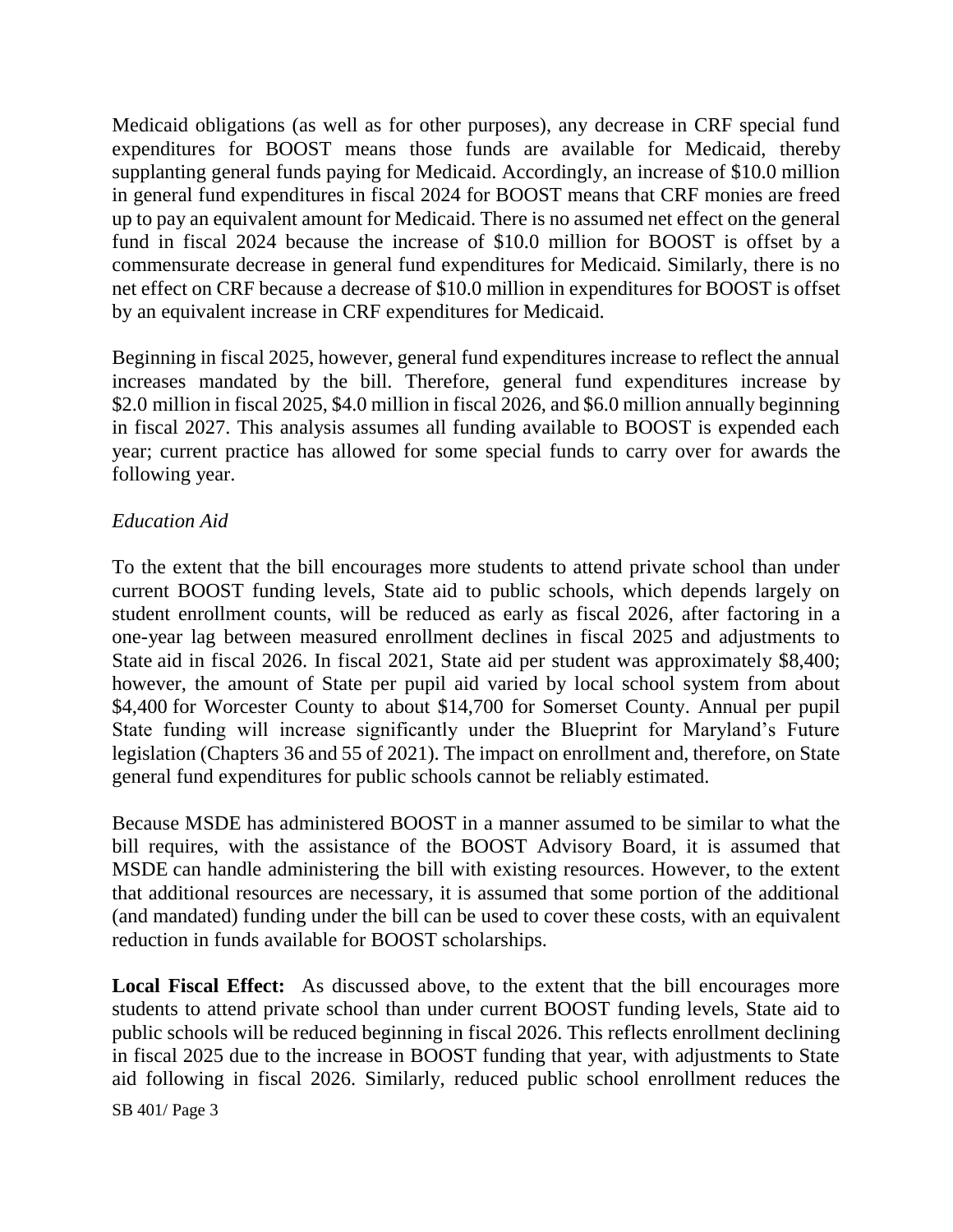Medicaid obligations (as well as for other purposes), any decrease in CRF special fund expenditures for BOOST means those funds are available for Medicaid, thereby supplanting general funds paying for Medicaid. Accordingly, an increase of \$10.0 million in general fund expenditures in fiscal 2024 for BOOST means that CRF monies are freed up to pay an equivalent amount for Medicaid. There is no assumed net effect on the general fund in fiscal 2024 because the increase of \$10.0 million for BOOST is offset by a commensurate decrease in general fund expenditures for Medicaid. Similarly, there is no net effect on CRF because a decrease of \$10.0 million in expenditures for BOOST is offset by an equivalent increase in CRF expenditures for Medicaid.

Beginning in fiscal 2025, however, general fund expenditures increase to reflect the annual increases mandated by the bill. Therefore, general fund expenditures increase by \$2.0 million in fiscal 2025, \$4.0 million in fiscal 2026, and \$6.0 million annually beginning in fiscal 2027. This analysis assumes all funding available to BOOST is expended each year; current practice has allowed for some special funds to carry over for awards the following year.

## *Education Aid*

To the extent that the bill encourages more students to attend private school than under current BOOST funding levels, State aid to public schools, which depends largely on student enrollment counts, will be reduced as early as fiscal 2026, after factoring in a one-year lag between measured enrollment declines in fiscal 2025 and adjustments to State aid in fiscal 2026. In fiscal 2021, State aid per student was approximately \$8,400; however, the amount of State per pupil aid varied by local school system from about \$4,400 for Worcester County to about \$14,700 for Somerset County. Annual per pupil State funding will increase significantly under the Blueprint for Maryland's Future legislation (Chapters 36 and 55 of 2021). The impact on enrollment and, therefore, on State general fund expenditures for public schools cannot be reliably estimated.

Because MSDE has administered BOOST in a manner assumed to be similar to what the bill requires, with the assistance of the BOOST Advisory Board, it is assumed that MSDE can handle administering the bill with existing resources. However, to the extent that additional resources are necessary, it is assumed that some portion of the additional (and mandated) funding under the bill can be used to cover these costs, with an equivalent reduction in funds available for BOOST scholarships.

**Local Fiscal Effect:** As discussed above, to the extent that the bill encourages more students to attend private school than under current BOOST funding levels, State aid to public schools will be reduced beginning in fiscal 2026. This reflects enrollment declining in fiscal 2025 due to the increase in BOOST funding that year, with adjustments to State aid following in fiscal 2026. Similarly, reduced public school enrollment reduces the

SB 401/ Page 3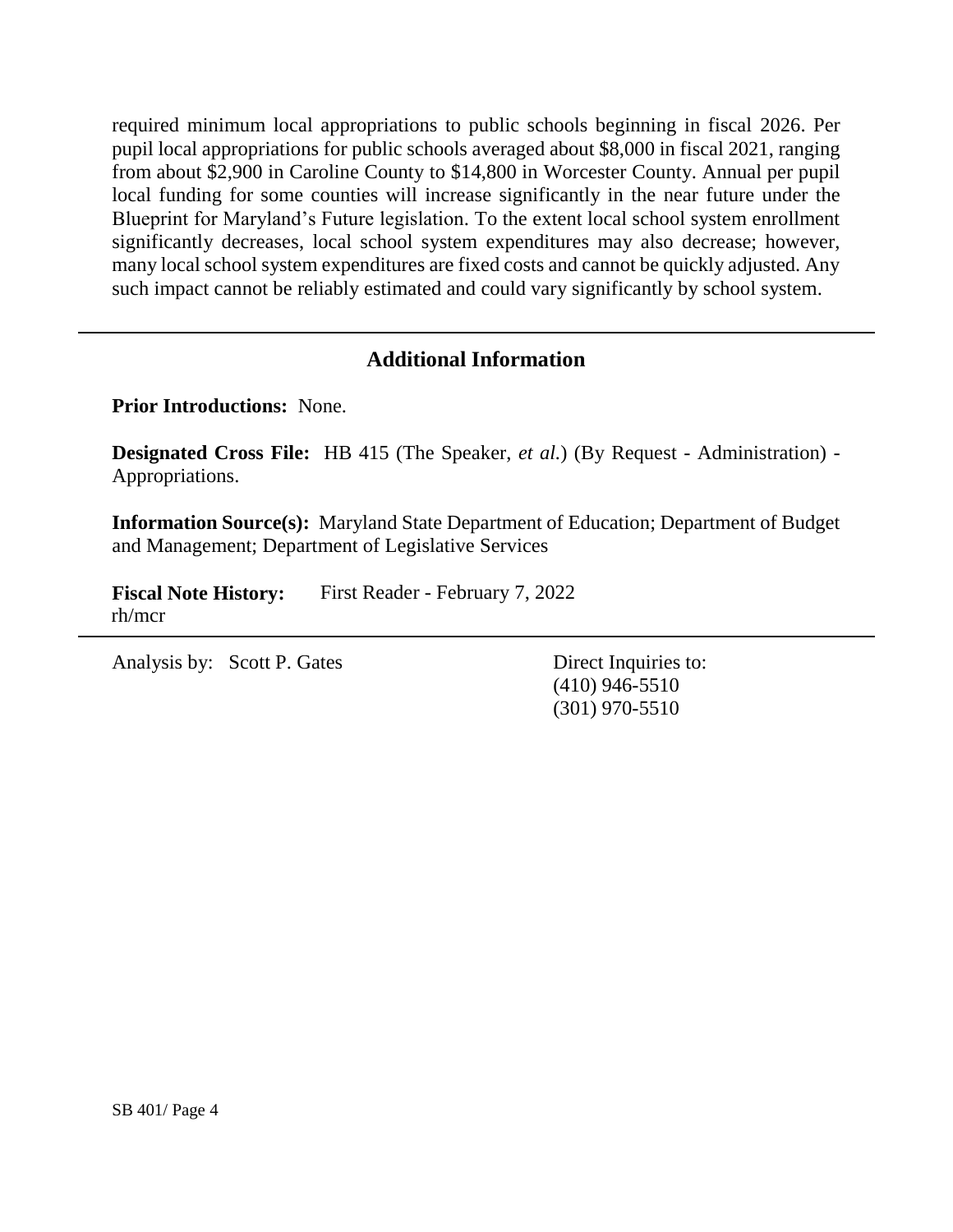required minimum local appropriations to public schools beginning in fiscal 2026. Per pupil local appropriations for public schools averaged about \$8,000 in fiscal 2021, ranging from about \$2,900 in Caroline County to \$14,800 in Worcester County. Annual per pupil local funding for some counties will increase significantly in the near future under the Blueprint for Maryland's Future legislation. To the extent local school system enrollment significantly decreases, local school system expenditures may also decrease; however, many local school system expenditures are fixed costs and cannot be quickly adjusted. Any such impact cannot be reliably estimated and could vary significantly by school system.

# **Additional Information**

**Prior Introductions:** None.

**Designated Cross File:** HB 415 (The Speaker, *et al.*) (By Request - Administration) - Appropriations.

**Information Source(s):** Maryland State Department of Education; Department of Budget and Management; Department of Legislative Services

**Fiscal Note History:** First Reader - February 7, 2022 rh/mcr

Analysis by: Scott P. Gates Direct Inquiries to:

(410) 946-5510 (301) 970-5510